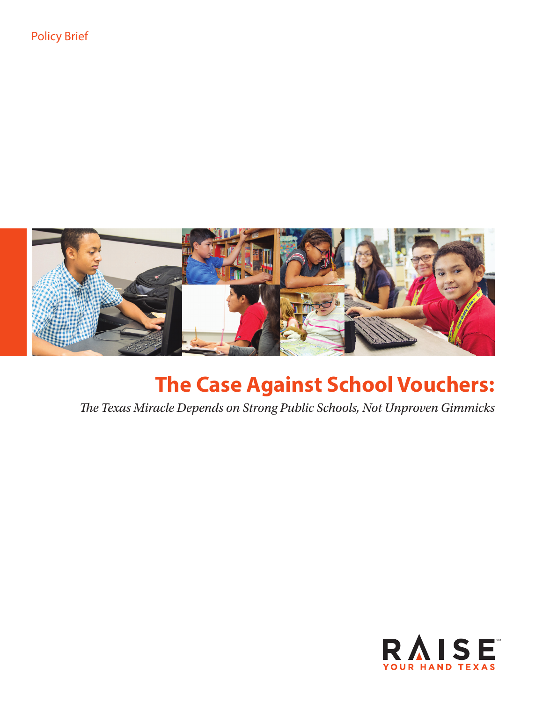

# **The Case Against School Vouchers:**

*The Texas Miracle Depends on Strong Public Schools, Not Unproven Gimmicks*

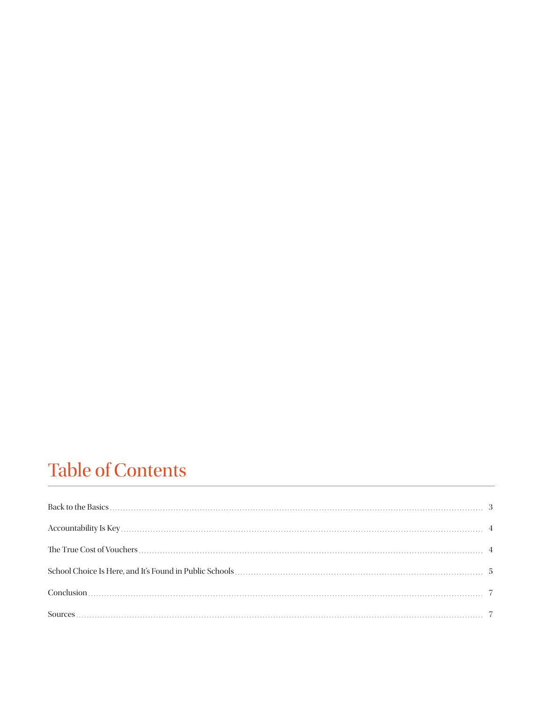# Table of Contents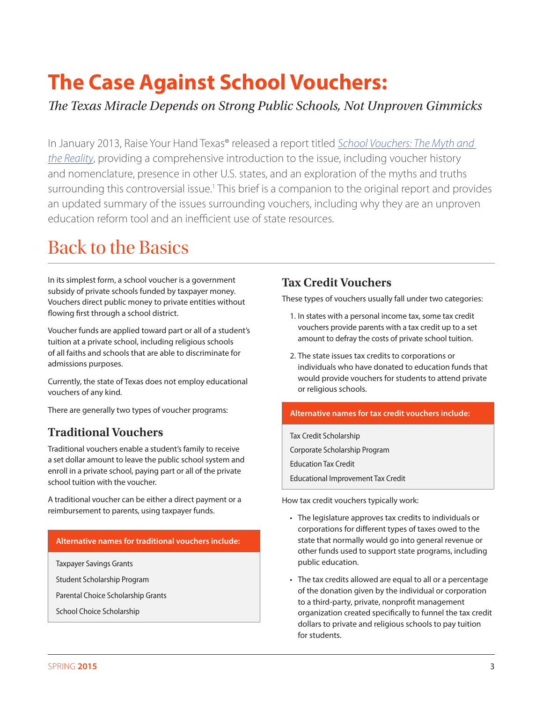# **The Case Against School Vouchers:**

*The Texas Miracle Depends on Strong Public Schools, Not Unproven Gimmicks*

In January 2013, Raise Your Hand Texas® released a report titled *School Vouchers: The Myth and the Reality*, providing a comprehensive introduction to the issue, including voucher history and nomenclature, presence in other U.S. states, and an exploration of the myths and truths surrounding this controversial issue.<sup>1</sup> This brief is a companion to the original report and provides an updated summary of the issues surrounding vouchers, including why they are an unproven education reform tool and an inefficient use of state resources.

### Back to the Basics

In its simplest form, a school voucher is a government subsidy of private schools funded by taxpayer money. Vouchers direct public money to private entities without flowing first through a school district.

Voucher funds are applied toward part or all of a student's tuition at a private school, including religious schools of all faiths and schools that are able to discriminate for admissions purposes.

Currently, the state of Texas does not employ educational vouchers of any kind.

There are generally two types of voucher programs:

### **Traditional Vouchers**

Traditional vouchers enable a student's family to receive a set dollar amount to leave the public school system and enroll in a private school, paying part or all of the private school tuition with the voucher.

A traditional voucher can be either a direct payment or a reimbursement to parents, using taxpayer funds.

#### **Alternative names for traditional vouchers include:**

Taxpayer Savings Grants

Student Scholarship Program

Parental Choice Scholarship Grants

School Choice Scholarship

### **Tax Credit Vouchers**

These types of vouchers usually fall under two categories:

- 1. In states with a personal income tax, some tax credit vouchers provide parents with a tax credit up to a set amount to defray the costs of private school tuition.
- 2. The state issues tax credits to corporations or individuals who have donated to education funds that would provide vouchers for students to attend private or religious schools.

#### **Alternative names for tax credit vouchers include:**

Tax Credit Scholarship Corporate Scholarship Program Education Tax Credit Educational Improvement Tax Credit

How tax credit vouchers typically work:

- The legislature approves tax credits to individuals or corporations for different types of taxes owed to the state that normally would go into general revenue or other funds used to support state programs, including public education.
- The tax credits allowed are equal to all or a percentage of the donation given by the individual or corporation to a third-party, private, nonprofit management organization created specifically to funnel the tax credit dollars to private and religious schools to pay tuition for students.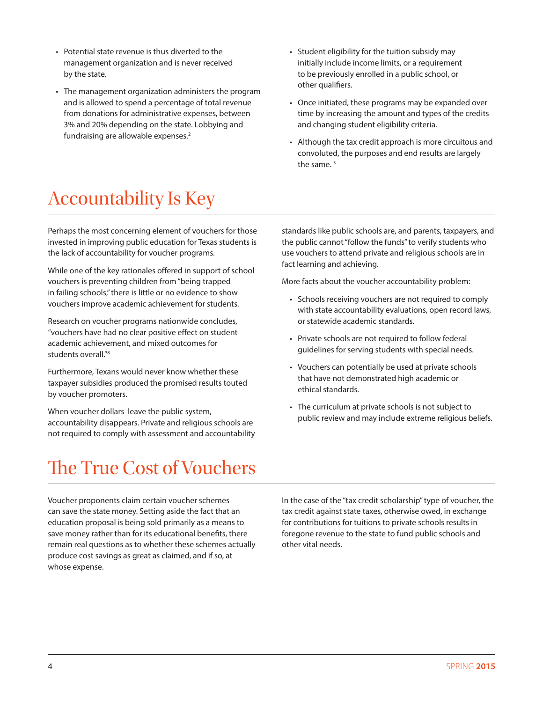- Potential state revenue is thus diverted to the management organization and is never received by the state.
- The management organization administers the program and is allowed to spend a percentage of total revenue from donations for administrative expenses, between 3% and 20% depending on the state. Lobbying and fundraising are allowable expenses.<sup>2</sup>
- Student eligibility for the tuition subsidy may initially include income limits, or a requirement to be previously enrolled in a public school, or other qualifiers.
- Once initiated, these programs may be expanded over time by increasing the amount and types of the credits and changing student eligibility criteria.
- Although the tax credit approach is more circuitous and convoluted, the purposes and end results are largely the same.<sup>3</sup>

## Accountability Is Key

Perhaps the most concerning element of vouchers for those invested in improving public education for Texas students is the lack of accountability for voucher programs.

While one of the key rationales offered in support of school vouchers is preventing children from "being trapped in failing schools," there is little or no evidence to show vouchers improve academic achievement for students.

Research on voucher programs nationwide concludes, "vouchers have had no clear positive effect on student academic achievement, and mixed outcomes for students overall."<sup>8</sup>

Furthermore, Texans would never know whether these taxpayer subsidies produced the promised results touted by voucher promoters.

When voucher dollars leave the public system, accountability disappears. Private and religious schools are not required to comply with assessment and accountability standards like public schools are, and parents, taxpayers, and the public cannot "follow the funds" to verify students who use vouchers to attend private and religious schools are in fact learning and achieving.

More facts about the voucher accountability problem:

- Schools receiving vouchers are not required to comply with state accountability evaluations, open record laws, or statewide academic standards.
- Private schools are not required to follow federal guidelines for serving students with special needs.
- Vouchers can potentially be used at private schools that have not demonstrated high academic or ethical standards.
- The curriculum at private schools is not subject to public review and may include extreme religious beliefs.

## The True Cost of Vouchers

Voucher proponents claim certain voucher schemes can save the state money. Setting aside the fact that an education proposal is being sold primarily as a means to save money rather than for its educational benefits, there remain real questions as to whether these schemes actually produce cost savings as great as claimed, and if so, at whose expense.

In the case of the "tax credit scholarship" type of voucher, the tax credit against state taxes, otherwise owed, in exchange for contributions for tuitions to private schools results in foregone revenue to the state to fund public schools and other vital needs.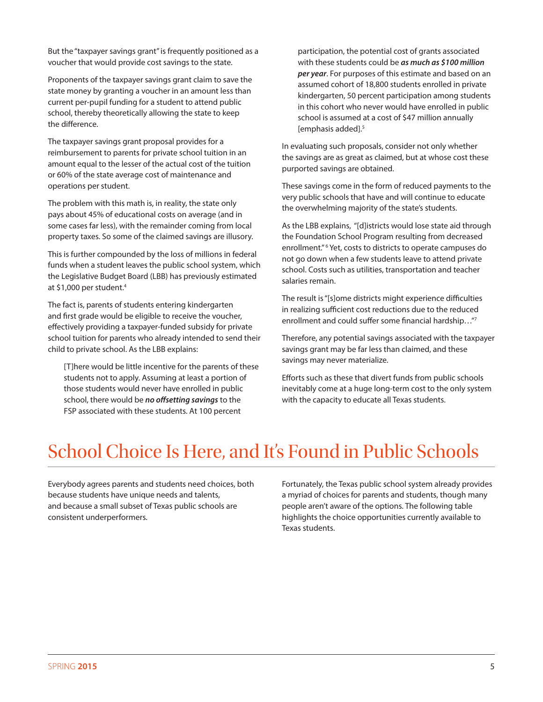But the "taxpayer savings grant" is frequently positioned as a voucher that would provide cost savings to the state.

Proponents of the taxpayer savings grant claim to save the state money by granting a voucher in an amount less than current per-pupil funding for a student to attend public school, thereby theoretically allowing the state to keep the difference.

The taxpayer savings grant proposal provides for a reimbursement to parents for private school tuition in an amount equal to the lesser of the actual cost of the tuition or 60% of the state average cost of maintenance and operations per student.

The problem with this math is, in reality, the state only pays about 45% of educational costs on average (and in some cases far less), with the remainder coming from local property taxes. So some of the claimed savings are illusory.

This is further compounded by the loss of millions in federal funds when a student leaves the public school system, which the Legislative Budget Board (LBB) has previously estimated at \$1,000 per student.4

The fact is, parents of students entering kindergarten and first grade would be eligible to receive the voucher, effectively providing a taxpayer-funded subsidy for private school tuition for parents who already intended to send their child to private school. As the LBB explains:

[T]here would be little incentive for the parents of these students not to apply. Assuming at least a portion of those students would never have enrolled in public school, there would be *no offsetting savings* to the FSP associated with these students. At 100 percent

participation, the potential cost of grants associated with these students could be *as much as \$100 million per year*. For purposes of this estimate and based on an assumed cohort of 18,800 students enrolled in private kindergarten, 50 percent participation among students in this cohort who never would have enrolled in public school is assumed at a cost of \$47 million annually [emphasis added].5

In evaluating such proposals, consider not only whether the savings are as great as claimed, but at whose cost these purported savings are obtained.

These savings come in the form of reduced payments to the very public schools that have and will continue to educate the overwhelming majority of the state's students.

As the LBB explains, "[d]istricts would lose state aid through the Foundation School Program resulting from decreased enrollment."<sup>6</sup> Yet, costs to districts to operate campuses do not go down when a few students leave to attend private school. Costs such as utilities, transportation and teacher salaries remain.

The result is "[s]ome districts might experience difficulties in realizing sufficient cost reductions due to the reduced enrollment and could suffer some financial hardship…"7

Therefore, any potential savings associated with the taxpayer savings grant may be far less than claimed, and these savings may never materialize.

Efforts such as these that divert funds from public schools inevitably come at a huge long-term cost to the only system with the capacity to educate all Texas students.

### School Choice Is Here, and It's Found in Public Schools

Everybody agrees parents and students need choices, both because students have unique needs and talents, and because a small subset of Texas public schools are consistent underperformers.

Fortunately, the Texas public school system already provides a myriad of choices for parents and students, though many people aren't aware of the options. The following table highlights the choice opportunities currently available to Texas students.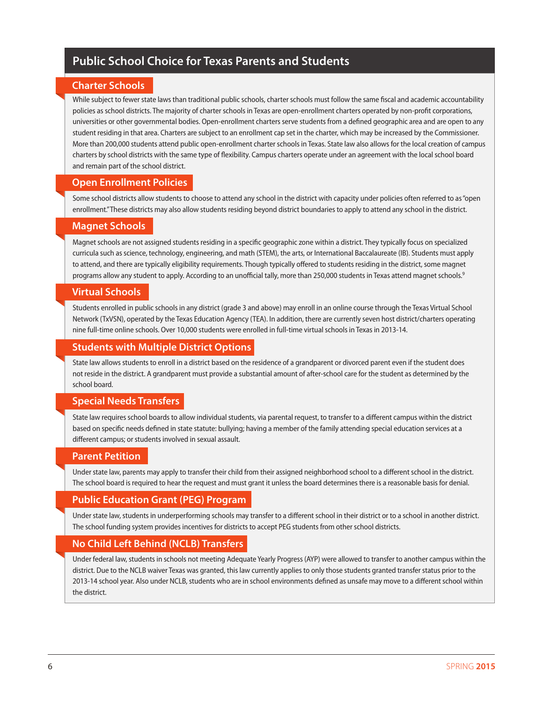### **Public School Choice for Texas Parents and Students**

#### **Charter Schools**

While subject to fewer state laws than traditional public schools, charter schools must follow the same fiscal and academic accountability policies as school districts. The majority of charter schools in Texas are open-enrollment charters operated by non-profit corporations, universities or other governmental bodies. Open-enrollment charters serve students from a defined geographic area and are open to any student residing in that area. Charters are subject to an enrollment cap set in the charter, which may be increased by the Commissioner. More than 200,000 students attend public open-enrollment charter schools in Texas. State law also allows for the local creation of campus charters by school districts with the same type of flexibility. Campus charters operate under an agreement with the local school board and remain part of the school district.

#### **Open Enrollment Policies**

Some school districts allow students to choose to attend any school in the district with capacity under policies often referred to as "open enrollment." These districts may also allow students residing beyond district boundaries to apply to attend any school in the district.

#### **Magnet Schools**

Magnet schools are not assigned students residing in a specific geographic zone within a district. They typically focus on specialized curricula such as science, technology, engineering, and math (STEM), the arts, or International Baccalaureate (IB). Students must apply to attend, and there are typically eligibility requirements. Though typically offered to students residing in the district, some magnet programs allow any student to apply. According to an unofficial tally, more than 250,000 students in Texas attend magnet schools.<sup>9</sup>

#### **Virtual Schools**

Students enrolled in public schools in any district (grade 3 and above) may enroll in an online course through the Texas Virtual School Network (TxVSN), operated by the Texas Education Agency (TEA). In addition, there are currently seven host district/charters operating nine full-time online schools. Over 10,000 students were enrolled in full-time virtual schools in Texas in 2013-14.

#### **Students with Multiple District Options**

State law allows students to enroll in a district based on the residence of a grandparent or divorced parent even if the student does not reside in the district. A grandparent must provide a substantial amount of after-school care for the student as determined by the school board.

#### **Special Needs Transfers**

State law requires school boards to allow individual students, via parental request, to transfer to a different campus within the district based on specific needs defined in state statute: bullying; having a member of the family attending special education services at a different campus; or students involved in sexual assault.

#### **Parent Petition**

Under state law, parents may apply to transfer their child from their assigned neighborhood school to a different school in the district. The school board is required to hear the request and must grant it unless the board determines there is a reasonable basis for denial.

#### **Public Education Grant (PEG) Program**

Under state law, students in underperforming schools may transfer to a different school in their district or to a school in another district. The school funding system provides incentives for districts to accept PEG students from other school districts.

#### **No Child Left Behind (NCLB) Transfers**

Under federal law, students in schools not meeting Adequate Yearly Progress (AYP) were allowed to transfer to another campus within the district. Due to the NCLB waiver Texas was granted, this law currently applies to only those students granted transfer status prior to the 2013-14 school year. Also under NCLB, students who are in school environments defined as unsafe may move to a different school within the district.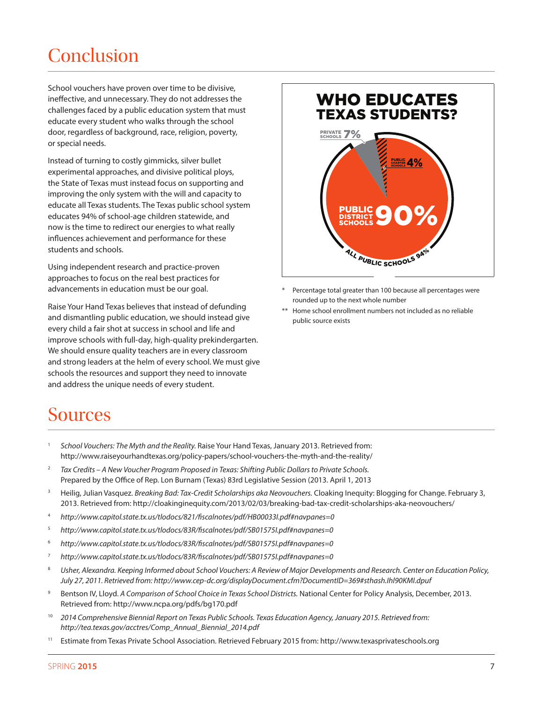### Conclusion

School vouchers have proven over time to be divisive, ineffective, and unnecessary. They do not addresses the challenges faced by a public education system that must educate every student who walks through the school door, regardless of background, race, religion, poverty, or special needs.

Instead of turning to costly gimmicks, silver bullet experimental approaches, and divisive political ploys, the State of Texas must instead focus on supporting and improving the only system with the will and capacity to educate all Texas students. The Texas public school system educates 94% of school-age children statewide, and now is the time to redirect our energies to what really influences achievement and performance for these students and schools.

Using independent research and practice-proven approaches to focus on the real best practices for advancements in education must be our goal.

Raise Your Hand Texas believes that instead of defunding and dismantling public education, we should instead give every child a fair shot at success in school and life and improve schools with full-day, high-quality prekindergarten. We should ensure quality teachers are in every classroom and strong leaders at the helm of every school. We must give schools the resources and support they need to innovate and address the unique needs of every student.

### WHO EDUCATES TEXAS STUDENTS? PUBLIC DISTRICT PUBLIC<br>SCHOOLS 90% PRIVATE 7% PUBLIC CHARTER SCHOOLS 4% ALL PUBLIC SCHOOLS 94°

- Percentage total greater than 100 because all percentages were rounded up to the next whole number
- Home school enrollment numbers not included as no reliable public source exists

### Sources

- <sup>1</sup> *School Vouchers: The Myth and the Reality.* Raise Your Hand Texas, January 2013. Retrieved from: http://www.raiseyourhandtexas.org/policy-papers/school-vouchers-the-myth-and-the-reality/
- <sup>2</sup> *Tax Credits A New Voucher Program Proposed in Texas: Shifting Public Dollars to Private Schools.* Prepared by the Office of Rep. Lon Burnam (Texas) 83rd Legislative Session (2013. April 1, 2013
- <sup>3</sup> Heilig, Julian Vasquez. *Breaking Bad: Tax-Credit Scholarships aka Neovouchers*. Cloaking Inequity: Blogging for Change. February 3, 2013. Retrieved from: http://cloakinginequity.com/2013/02/03/breaking-bad-tax-credit-scholarships-aka-neovouchers/
- <sup>4</sup> *http://www.capitol.state.tx.us/tlodocs/821/fiscalnotes/pdf/HB00033I.pdf#navpanes=0*
- <sup>5</sup> *http://www.capitol.state.tx.us/tlodocs/83R/fiscalnotes/pdf/SB01575I.pdf#navpanes=0*
- <sup>6</sup> *http://www.capitol.state.tx.us/tlodocs/83R/fiscalnotes/pdf/SB01575I.pdf#navpanes=0*
- <sup>7</sup> *http://www.capitol.state.tx.us/tlodocs/83R/fiscalnotes/pdf/SB01575I.pdf#navpanes=0*
- <sup>8</sup> *Usher, Alexandra. Keeping Informed about School Vouchers: A Review of Major Developments and Research. Center on Education Policy, July 27, 2011. Retrieved from: http://www.cep-dc.org/displayDocument.cfm?DocumentID=369#sthash.Ihl90KMI.dpuf*
- <sup>9</sup> Bentson IV, Lloyd. *A Comparison of School Choice in Texas School Districts.* National Center for Policy Analysis, December, 2013. Retrieved from: http://www.ncpa.org/pdfs/bg170.pdf
- <sup>10</sup> 2014 Comprehensive Biennial Report on Texas Public Schools. Texas Education Agency, January 2015. Retrieved from: *http://tea.texas.gov/acctres/Comp\_Annual\_Biennial\_2014.pdf*
- <sup>11</sup> Estimate from Texas Private School Association. Retrieved February 2015 from: http://www.texasprivateschools.org